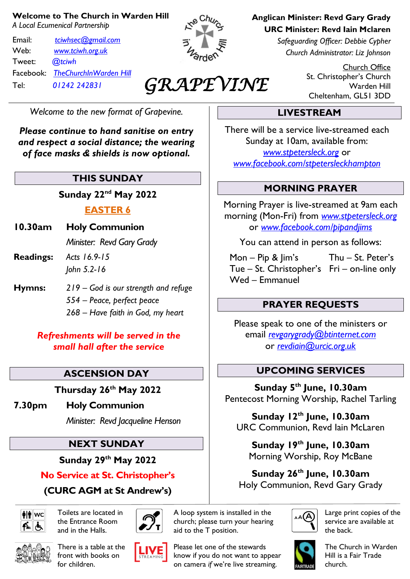#### **Welcome to The Church in Warden Hill**

*A Local Ecumenical Partnership*

Email: *[tciwhsec@gmail.com](mailto:tciwhsec@gmail.com)* Web: *[www.tciwh.org.uk](http://www.tciwh.org.uk/)* Tweet: *@tciwh* Facebook: *TheChurchInWarden Hill* Tel: *01242 242831*



# *GRAPEVINE*

*Welcome to the new format of Grapevine.*

*Please continue to hand sanitise on entry and respect a social distance; the wearing of face masks & shields is now optional.*

#### **THIS SUNDAY**

**Sunday 22nd May 2022**

#### **EASTER 6**

**10.30am Holy Communion**

*Minister: Revd Gary Grady*

- **Readings:** *Acts 16.9-15 John 5.2-16*
- **Hymns:** *219 – God is our strength and refuge 554 – Peace, perfect peace 268 – Have faith in God, my heart*

*Refreshments will be served in the small hall after the service*

## **ASCENSION DAY**

**Thursday 26th May 2022**

**7.30pm Holy Communion**

*Minister: Revd Jacqueline Henson*

#### **NEXT SUNDAY**

**Sunday 29 th May 2022**

#### **No Service at St. Christopher's**

**(CURC AGM at St Andrew's)**



Toilets are located in the Entrance Room and in the Halls.



There is a table at the front with books on for children.





A loop system is installed in the



Please let one of the stewards know if you do not want to appear on camera *if* we're live streaming.

**Anglican Minister: Revd Gary Grady URC Minister: Revd Iain Mclaren**

> *Safeguarding Officer: Debbie Cypher Church Administrator: Liz Johnson*

> > Church Office St. Christopher's Church Warden Hill Cheltenham, GL51 3DD

## **LIVESTREAM**

There will be a service live-streamed each Sunday at 10am, available from: *[www.stpetersleck.org](http://www.stpetersleck.org/)* or *[www.facebook.com/stpetersleckhampton](http://www.facebook.com/stpetersleckhampton)*

#### **MORNING PRAYER**

Morning Prayer is live-streamed at 9am each morning (Mon-Fri) from *[www.stpetersleck.org](http://www.stpetersleck.org/)* or *[www.facebook.com/pipandjims](http://www.facebook.com/pipandjims)*

You can attend in person as follows:

 Mon – Pip & Jim's Thu – St. Peter's Tue – St. Christopher's Fri – on-line only Wed – Emmanuel

#### **PRAYER REQUESTS**

Please speak to one of the ministers or email *[revgarygrady@btinternet.com](mailto:revgarygrady@btinternet.com)* or *[revdiain@urcic.org.uk](mailto:revdiain@urcic.org.uk)*

#### **UPCOMING SERVICES**

**Sunday 5 th June, 10.30am** Pentecost Morning Worship, Rachel Tarling

**Sunday 12th June, 10.30am** URC Communion, Revd Iain McLaren

**Sunday 19th June, 10.30am** Morning Worship, Roy McBane

**Sunday 26th June, 10.30am** Holy Communion, Revd Gary Grady



Large print copies of the service are available at the back.



The Church in Warden Hill is a Fair Trade church.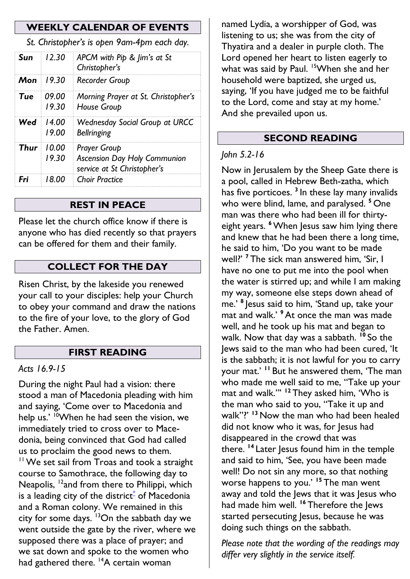#### **WEEKLY CALENDAR OF EVENTS**

*St. Christopher's is open 9am-4pm each day.*

| Sun  | 12.30          | APCM with Pip & Jim's at St<br>Christopher's                                              |  |  |  |  |  |
|------|----------------|-------------------------------------------------------------------------------------------|--|--|--|--|--|
| Mon  | 19.30          | Recorder Group                                                                            |  |  |  |  |  |
| Tue  | 09.00<br>19.30 | Morning Prayer at St. Christopher's<br>House Group                                        |  |  |  |  |  |
| Wed  | 14 00<br>19.00 | <b>Wednesday Social Group at URCC</b><br><b>Bellringing</b>                               |  |  |  |  |  |
| Thur | 10 OO<br>19.30 | <b>Prayer Group</b><br><b>Ascension Day Holy Communion</b><br>service at St Christopher's |  |  |  |  |  |
| Fri  | 18 OO          | <b>Choir Practice</b>                                                                     |  |  |  |  |  |

#### **REST IN PEACE**

Please let the church office know if there is anyone who has died recently so that prayers can be offered for them and their family.

#### **COLLECT FOR THE DAY**

Risen Christ, by the lakeside you renewed your call to your disciples: help your Church to obey your command and draw the nations to the fire of your love, to the glory of God the Father. Amen.

#### **FIRST READING**

#### *Acts 16.9-15*

During the night Paul had a vision: there stood a man of Macedonia pleading with him and saying, 'Come over to Macedonia and help us.' <sup>10</sup>When he had seen the vision, we immediately tried to cross over to Macedonia, being convinced that God had called us to proclaim the good news to them. <sup>11</sup> We set sail from Troas and took a straight course to Samothrace, the following day to Neapolis, <sup>12</sup>and from there to Philippi, which is a leading city of the district $*$  of Macedonia and a Roman colony. We remained in this city for some days.  $13$ On the sabbath day we went outside the gate by the river, where we supposed there was a place of prayer; and we sat down and spoke to the women who had gathered there. <sup>14</sup>A certain woman

named Lydia, a worshipper of God, was listening to us; she was from the city of Thyatira and a dealer in purple cloth. The Lord opened her heart to listen eagerly to what was said by Paul. <sup>15</sup>When she and her household were baptized, she urged us, saying, 'If you have judged me to be faithful to the Lord, come and stay at my home.' And she prevailed upon us.

#### **SECOND READING**

#### *John 5.2-16*

Now in Jerusalem by the Sheep Gate there is a pool, called in Hebrew Beth-zatha, which has five porticoes. **<sup>3</sup>** In these lay many invalids who were blind, lame, and paralysed. **<sup>5</sup>** One man was there who had been ill for thirtyeight years. <sup>6</sup> When Jesus saw him lying there and knew that he had been there a long time, he said to him, 'Do you want to be made well?' **<sup>7</sup>** The sick man answered him, 'Sir, I have no one to put me into the pool when the water is stirred up; and while I am making my way, someone else steps down ahead of me.' **<sup>8</sup>** Jesus said to him, 'Stand up, take your mat and walk.' **<sup>9</sup>**At once the man was made well, and he took up his mat and began to walk. Now that day was a sabbath. **<sup>10</sup>** So the Jews said to the man who had been cured, 'It is the sabbath; it is not lawful for you to carry your mat.' **<sup>11</sup>** But he answered them, 'The man who made me well said to me, "Take up your mat and walk."' **<sup>12</sup>** They asked him, 'Who is the man who said to you, "Take it up and walk"?' **<sup>13</sup>** Now the man who had been healed did not know who it was, for lesus had disappeared in the crowd that was there. <sup>14</sup> Later Jesus found him in the temple and said to him, 'See, you have been made well! Do not sin any more, so that nothing worse happens to you.' **<sup>15</sup>** The man went away and told the lews that it was lesus who had made him well. **<sup>16</sup>** Therefore the Jews started persecuting Jesus, because he was doing such things on the sabbath.

*Please note that the wording of the readings may differ very slightly in the service itself.*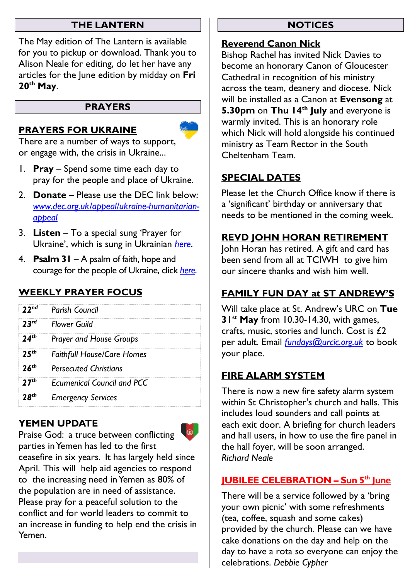#### **THE LANTERN**

The May edition of The Lantern is available for you to pickup or download. Thank you to Alison Neale for editing, do let her have any articles for the June edition by midday on **Fri 20th May**.

#### **PRAYERS**

#### **PRAYERS FOR UKRAINE**

There are a number of ways to support, or engage with, the crisis in Ukraine...

- 1. **Pray** Spend some time each day to pray for the people and place of Ukraine.
- 2. **Donate** Please use the DEC link below: *[www.dec.org.uk/appeal/ukraine-humanitarian](http://www.dec.org.uk/appeal/ukraine-humanitarian-appeal)[appeal](http://www.dec.org.uk/appeal/ukraine-humanitarian-appeal)*
- 3. **Listen** To a special sung 'Prayer for Ukraine', which is sung in Ukrainian *[here](https://stpetersleck.org/wp-content/uploads/2022/03/Prayer-for-Ukraine_St-Peters-Choir_MP3.mp3)*.
- 4. **Psalm 31** A psalm of faith, hope and courage for the people of Ukraine, click *[here](https://stpetersleck.org/psalm_31_ukraine-720p/)*.

# **WEEKLY PRAYER FOCUS**

| 22 <sup>nd</sup>         | <b>Parish Council</b>             |
|--------------------------|-----------------------------------|
| 23 <sup>rd</sup>         | <b>Flower Guild</b>               |
| ∤ٍth                     | <b>Prayer and House Groups</b>    |
| $\mathbf{5}^{\text{th}}$ | <b>Faithfull House/Care Homes</b> |
| $\mathcal{L}^{th}$       | <b>Persecuted Christians</b>      |
| 27 <sup>th</sup>         | <b>Ecumenical Council and PCC</b> |
|                          | <b>Emergency Services</b>         |

## **YEMEN UPDATE**



Praise God: a truce between conflicting parties in Yemen has led to the first ceasefire in six years. It has largely held since April. This will help aid agencies to respond to the increasing need in Yemen as 80% of the population are in need of assistance. Please pray for a peaceful solution to the conflict and for world leaders to commit to an increase in funding to help end the crisis in Yemen.

#### **NOTICES**

#### **Reverend Canon Nick**

Bishop Rachel has invited Nick Davies to become an honorary Canon of Gloucester Cathedral in recognition of his ministry across the team, deanery and diocese. Nick will be installed as a Canon at **Evensong** at **5.30pm** on **Thu 14th July** and everyone is warmly invited. This is an honorary role which Nick will hold alongside his continued ministry as Team Rector in the South Cheltenham Team.

## **SPECIAL DATES**

Please let the Church Office know if there is a 'significant' birthday or anniversary that needs to be mentioned in the coming week.

#### **REVD JOHN HORAN RETIREMENT**

John Horan has retired. A gift and card has been send from all at TCIWH to give him our sincere thanks and wish him well.

# **FAMILY FUN DAY at ST ANDREW'S**

Will take place at St. Andrew's URC on **Tue 31st May** from 10.30-14.30, with games, crafts, music, stories and lunch. Cost is £2 per adult. Email *[fundays@urcic.org.uk](mailto:fundays@urcic.org.uk)* to book your place.

## **FIRE ALARM SYSTEM**

There is now a new fire safety alarm system within St Christopher's church and halls. This includes loud sounders and call points at each exit door. A briefing for church leaders and hall users, in how to use the fire panel in the hall foyer, will be soon arranged. *Richard Neale*

# **JUBILEE CELEBRATION – Sun 5th June**

There will be a service followed by a 'bring your own picnic' with some refreshments (tea, coffee, squash and some cakes) provided by the church. Please can we have cake donations on the day and help on the day to have a rota so everyone can enjoy the celebrations. *Debbie Cypher*